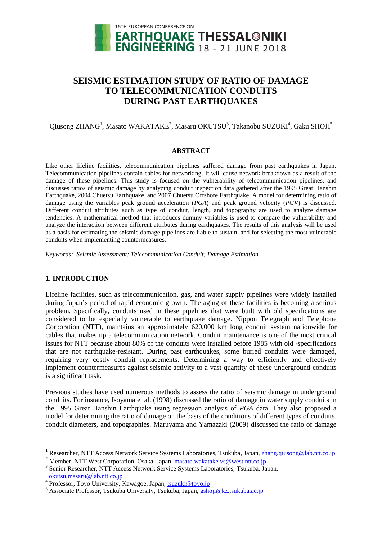

# **SEISMIC ESTIMATION STUDY OF RATIO OF DAMAGE TO TELECOMMUNICATION CONDUITS DURING PAST EARTHQUAKES**

# $\rm Qusong$  ZHANG<sup>1</sup>, Masato WAKATAKE<sup>2</sup>, Masaru OKUTSU<sup>3</sup>, Takanobu SUZUKI<sup>4</sup>, Gaku SHOJI<sup>5</sup>

#### **ABSTRACT**

Like other lifeline facilities, telecommunication pipelines suffered damage from past earthquakes in Japan. Telecommunication pipelines contain cables for networking. It will cause network breakdown as a result of the damage of these pipelines. This study is focused on the vulnerability of telecommunication pipelines, and discusses ratios of seismic damage by analyzing conduit inspection data gathered after the 1995 Great Hanshin Earthquake, 2004 Chuetsu Earthquake, and 2007 Chuetsu Offshore Earthquake. A model for determining ratio of damage using the variables peak ground acceleration (*PGA*) and peak ground velocity (*PGV*) is discussed. Different conduit attributes such as type of conduit, length, and topography are used to analyze damage tendencies. A mathematical method that introduces dummy variables is used to compare the vulnerability and analyze the interaction between different attributes during earthquakes. The results of this analysis will be used as a basis for estimating the seismic damage pipelines are liable to sustain, and for selecting the most vulnerable conduits when implementing countermeasures.

*Keywords: Seismic Assessment; Telecommunication Conduit; Damage Estimation*

## **1. INTRODUCTION**

l

Lifeline facilities, such as telecommunication, gas, and water supply pipelines were widely installed during Japan's period of rapid economic growth. The aging of these facilities is becoming a serious problem. Specifically, conduits used in these pipelines that were built with old specifications are considered to be especially vulnerable to earthquake damage. Nippon Telegraph and Telephone Corporation (NTT), maintains an approximately 620,000 km long conduit system nationwide for cables that makes up a telecommunication network. Conduit maintenance is one of the most critical issues for NTT because about 80% of the conduits were installed before 1985 with old -specifications that are not earthquake-resistant. During past earthquakes, some buried conduits were damaged, requiring very costly conduit replacements. Determining a way to efficiently and effectively implement countermeasures against seismic activity to a vast quantity of these underground conduits is a significant task.

Previous studies have used numerous methods to assess the ratio of seismic damage in underground conduits. For instance, Isoyama et al. (1998) discussed the ratio of damage in water supply conduits in the 1995 Great Hanshin Earthquake using regression analysis of *PGA* data. They also proposed a model for determining the ratio of damage on the basis of the conditions of different types of conduits, conduit diameters, and topographies. Maruyama and Yamazaki (2009) discussed the ratio of damage

<sup>&</sup>lt;sup>1</sup> Researcher, NTT Access Network Service Systems Laboratories, Tsukuba, Japan[, zhang.qiusong@lab.ntt.co.jp](mailto:zhang.qiusong@lab.ntt.co.jp)

<sup>2</sup> Member, NTT West Corporation, Osaka, Japan, [masato.wakatake.vs@west.ntt.co.jp](mailto:masato.wakatake.vs@west.ntt.co.jp)

<sup>&</sup>lt;sup>3</sup> Senior Researcher, NTT Access Network Service Systems Laboratories, Tsukuba, Japan,

<sup>4 &</sup>lt;mark>[okutsu.masaru@lab.ntt.co.jp](mailto:okutsu.masaru@lab.ntt.co.jp)</mark><br><sup>4</sup> Professor, Toyo University, Kawagoe, Japan, <u>[tsuzuki@toyo.jp](mailto:tsuzuki@toyo.jp)</u>

<sup>5</sup> Associate Professor, Tsukuba University, Tsukuba, Japan, [gshoji@kz.tsukuba.ac.jp](mailto:gshoji@kz.tsukuba.ac.jp)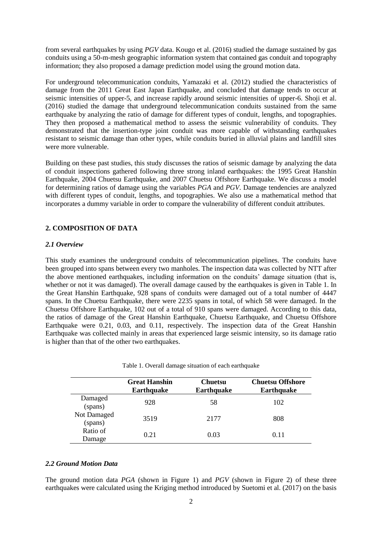from several earthquakes by using *PGV* data. Kougo et al. (2016) studied the damage sustained by gas conduits using a 50-m-mesh geographic information system that contained gas conduit and topography information; they also proposed a damage prediction model using the ground motion data.

For underground telecommunication conduits, Yamazaki et al. (2012) studied the characteristics of damage from the 2011 Great East Japan Earthquake, and concluded that damage tends to occur at seismic intensities of upper-5, and increase rapidly around seismic intensities of upper-6. Shoji et al. (2016) studied the damage that underground telecommunication conduits sustained from the same earthquake by analyzing the ratio of damage for different types of conduit, lengths, and topographies. They then proposed a mathematical method to assess the seismic vulnerability of conduits. They demonstrated that the insertion-type joint conduit was more capable of withstanding earthquakes resistant to seismic damage than other types, while conduits buried in alluvial plains and landfill sites were more vulnerable.

Building on these past studies, this study discusses the ratios of seismic damage by analyzing the data of conduit inspections gathered following three strong inland earthquakes: the 1995 Great Hanshin Earthquake, 2004 Chuetsu Earthquake, and 2007 Chuetsu Offshore Earthquake. We discuss a model for determining ratios of damage using the variables *PGA* and *PGV*. Damage tendencies are analyzed with different types of conduit, lengths, and topographies. We also use a mathematical method that incorporates a dummy variable in order to compare the vulnerability of different conduit attributes.

## **2. COMPOSITION OF DATA**

## *2.1 Overview*

This study examines the underground conduits of telecommunication pipelines. The conduits have been grouped into spans between every two manholes. The inspection data was collected by NTT after the above mentioned earthquakes, including information on the conduits' damage situation (that is, whether or not it was damaged). The overall damage caused by the earthquakes is given in Table 1. In the Great Hanshin Earthquake, 928 spans of conduits were damaged out of a total number of 4447 spans. In the Chuetsu Earthquake, there were 2235 spans in total, of which 58 were damaged. In the Chuetsu Offshore Earthquake, 102 out of a total of 910 spans were damaged. According to this data, the ratios of damage of the Great Hanshin Earthquake, Chuetsu Earthquake, and Chuetsu Offshore Earthquake were 0.21, 0.03, and 0.11, respectively. The inspection data of the Great Hanshin Earthquake was collected mainly in areas that experienced large seismic intensity, so its damage ratio is higher than that of the other two earthquakes.

|  |  |  | Table 1. Overall damage situation of each earthquake |  |
|--|--|--|------------------------------------------------------|--|
|  |  |  |                                                      |  |

|                        | <b>Great Hanshin</b><br><b>Earthquake</b> | <b>Chuetsu</b><br><b>Earthquake</b> | <b>Chuetsu Offshore</b><br><b>Earthquake</b> |
|------------------------|-------------------------------------------|-------------------------------------|----------------------------------------------|
| Damaged<br>(spans)     | 928                                       | 58                                  | 102                                          |
| Not Damaged<br>(spans) | 3519                                      | 2177                                | 808                                          |
| Ratio of<br>Damage     | 0.21                                      | 0.03                                | 0.11                                         |

#### *2.2 Ground Motion Data*

The ground motion data *PGA* (shown in Figure 1) and *PGV* (shown in Figure 2) of these three earthquakes were calculated using the Kriging method introduced by Suetomi et al. (2017) on the basis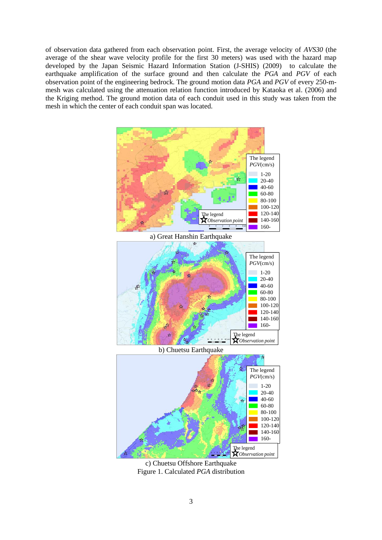of observation data gathered from each observation point. First, the average velocity of *AVS30* (the average of the shear wave velocity profile for the first 30 meters) was used with the hazard map developed by the Japan Seismic Hazard Information Station (J-SHIS) (2009) to calculate the earthquake amplification of the surface ground and then calculate the *PGA* and *PGV* of each observation point of the engineering bedrock. The ground motion data *PGA* and *PGV* of every 250-mmesh was calculated using the attenuation relation function introduced by Kataoka et al. (2006) and the Kriging method. The ground motion data of each conduit used in this study was taken from the mesh in which the center of each conduit span was located.



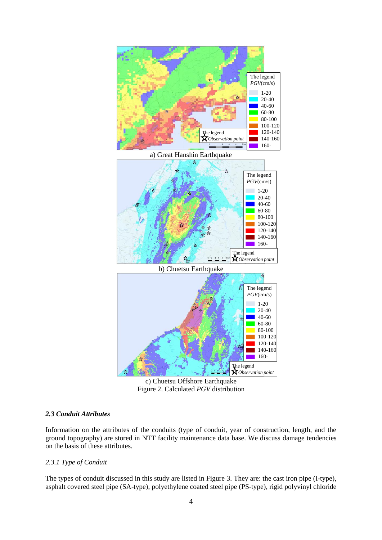

c) Chuetsu Offshore Earthquake Figure 2. Calculated *PGV* distribution

## *2.3 Conduit Attributes*

Information on the attributes of the conduits (type of conduit, year of construction, length, and the ground topography) are stored in NTT facility maintenance data base. We discuss damage tendencies on the basis of these attributes.

## *2.3.1 Type of Conduit*

The types of conduit discussed in this study are listed in Figure 3. They are: the cast iron pipe (I-type), asphalt covered steel pipe (SA-type), polyethylene coated steel pipe (PS-type), rigid polyvinyl chloride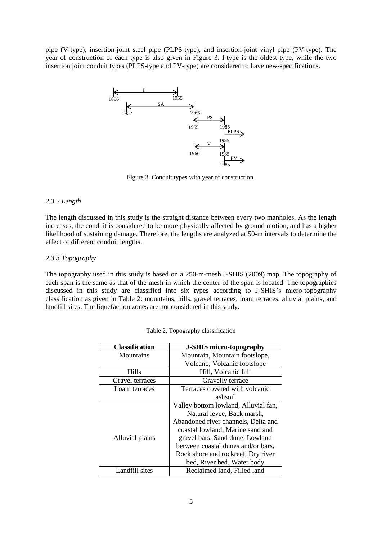pipe (V-type), insertion-joint steel pipe (PLPS-type), and insertion-joint vinyl pipe (PV-type). The year of construction of each type is also given in Figure 3. I-type is the oldest type, while the two insertion joint conduit types (PLPS-type and PV-type) are considered to have new-specifications.



Figure 3. Conduit types with year of construction.

## *2.3.2 Length*

The length discussed in this study is the straight distance between every two manholes. As the length increases, the conduit is considered to be more physically affected by ground motion, and has a higher likelihood of sustaining damage. Therefore, the lengths are analyzed at 50-m intervals to determine the effect of different conduit lengths.

## *2.3.3 Topography*

The topography used in this study is based on a 250-m-mesh J-SHIS (2009) map. The topography of each span is the same as that of the mesh in which the center of the span is located. The topographies discussed in this study are classified into six types according to J-SHIS's micro-topography classification as given in Table 2: mountains, hills, gravel terraces, loam terraces, alluvial plains, and landfill sites. The liquefaction zones are not considered in this study.

| <b>Classification</b> | <b>J-SHIS micro-topography</b>       |  |  |
|-----------------------|--------------------------------------|--|--|
| Mountains             | Mountain, Mountain footslope,        |  |  |
|                       | Volcano, Volcanic footslope          |  |  |
| <b>Hills</b>          | Hill, Volcanic hill                  |  |  |
| Gravel terraces       | Gravelly terrace                     |  |  |
| Loam terraces         | Terraces covered with volcanic       |  |  |
|                       | ashsoil                              |  |  |
|                       | Valley bottom lowland, Alluvial fan, |  |  |
|                       | Natural levee, Back marsh,           |  |  |
|                       | Abandoned river channels, Delta and  |  |  |
|                       | coastal lowland, Marine sand and     |  |  |
| Alluvial plains       | gravel bars, Sand dune, Lowland      |  |  |
|                       | between coastal dunes and/or bars,   |  |  |
|                       | Rock shore and rockreef, Dry river   |  |  |
|                       | bed, River bed, Water body           |  |  |
| Landfill sites        | Reclaimed land, Filled land          |  |  |

| Table 2. Topography classification |  |  |
|------------------------------------|--|--|
|                                    |  |  |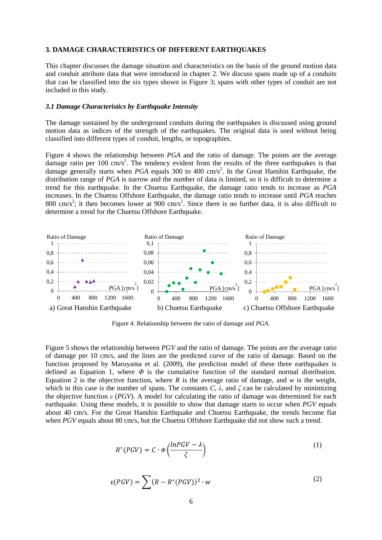#### **3. DAMAGE CHARACTERISTICS OF DIFFERENT EARTHQUAKES**

This chapter discusses the damage situation and characteristics on the basis of the ground motion data and conduit attribute data that were introduced in chapter 2. We discuss spans made up of a conduits that can be classified into the six types shown in Figure 3; spans with other types of conduit are not included in this study.

#### *3.1 Damage Characteristics by Earthquake Intensity*

The damage sustained by the underground conduits during the earthquakes is discussed using ground motion data as indices of the strength of the earthquakes. The original data is used without being classified into different types of conduit, lengths, or topographies.

Figure 4 shows the relationship between *PGA* and the ratio of damage. The points are the average damage ratio per 100 cm/s<sup>2</sup>. The tendency evident from the results of the three earthquakes is that damage generally starts when *PGA* equals 300 to 400 cm/s<sup>2</sup>. In the Great Hanshin Earthquake, the distribution range of *PGA* is narrow and the number of data is limited, so it is difficult to determine a trend for this earthquake. In the Chuetsu Earthquake, the damage ratio tends to increase as *PGA* increases. In the Chuetsu Offshore Earthquake, the damage ratio tends to increase until *PGA* reaches 800 cm/s<sup>2</sup>; it then becomes lower at 900 cm/s<sup>2</sup>. Since there is no further data, it is also difficult to determine a trend for the Chuetsu Offshore Earthquake.



Figure 4. Relationship between the ratio of damage and *PGA*.

Figure 5 shows the relationship between *PGV* and the ratio of damage. The points are the average ratio of damage per 10 cm/s, and the lines are the predicted curve of the ratio of damage. Based on the function proposed by Maruyama et al. (2009), the prediction model of these three earthquakes is defined as Equation 1, where *Φ* is the cumulative function of the standard normal distribution. Equation 2 is the objective function, where  $R$  is the average ratio of damage, and  $w$  is the weight, which in this case is the number of spans. The constants  $C$ ,  $\lambda$ , and  $\zeta$  can be calculated by minimizing the objective function *ε* (*PGV*). A model for calculating the ratio of damage was determined for each earthquake. Using these models, it is possible to show that damage starts to occur when *PGV* equals about 40 cm/s. For the Great Hanshin Earthquake and Chuetsu Earthquake, the trends become flat when *PGV* equals about 80 cm/s, but the Chuetsu Offshore Earthquake did not show such a trend.

$$
R^*(PGV) = C \cdot \phi\left(\frac{lnPGV - \lambda}{\zeta}\right) \tag{1}
$$

$$
\varepsilon(PGV) = \sum (R - R^*(PGV))^2 \cdot w \tag{2}
$$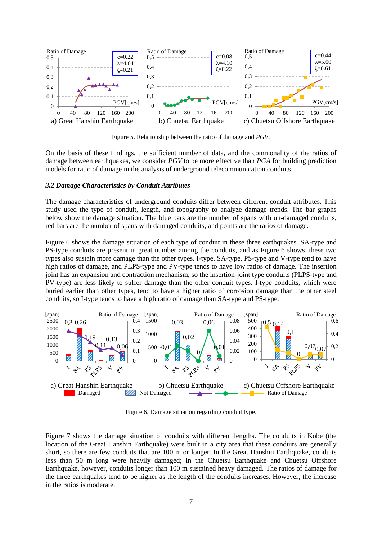

Figure 5. Relationship between the ratio of damage and *PGV*.

On the basis of these findings, the sufficient number of data, and the commonality of the ratios of damage between earthquakes, we consider *PGV* to be more effective than *PGA* for building prediction models for ratio of damage in the analysis of underground telecommunication conduits.

#### *3.2 Damage Characteristics by Conduit Attributes*

The damage characteristics of underground conduits differ between different conduit attributes. This study used the type of conduit, length, and topography to analyze damage trends. The bar graphs below show the damage situation. The blue bars are the number of spans with un-damaged conduits, red bars are the number of spans with damaged conduits, and points are the ratios of damage.

Figure 6 shows the damage situation of each type of conduit in these three earthquakes. SA-type and PS-type conduits are present in great number among the conduits, and as Figure 6 shows, these two types also sustain more damage than the other types. I-type, SA-type, PS-type and V-type tend to have high ratios of damage, and PLPS-type and PV-type tends to have low ratios of damage. The insertion joint has an expansion and contraction mechanism, so the insertion-joint type conduits (PLPS-type and PV-type) are less likely to suffer damage than the other conduit types. I-type conduits, which were buried earlier than other types, tend to have a higher ratio of corrosion damage than the other steel conduits, so I-type tends to have a high ratio of damage than SA-type and PS-type.



Figure 6. Damage situation regarding conduit type.

Figure 7 shows the damage situation of conduits with different lengths. The conduits in Kobe (the location of the Great Hanshin Earthquake) were built in a city area that these conduits are generally short, so there are few conduits that are 100 m or longer. In the Great Hanshin Earthquake, conduits less than 50 m long were heavily damaged; in the Chuetsu Earthquake and Chuetsu Offshore Earthquake, however, conduits longer than 100 m sustained heavy damaged. The ratios of damage for the three earthquakes tend to be higher as the length of the conduits increases. However, the increase in the ratios is moderate.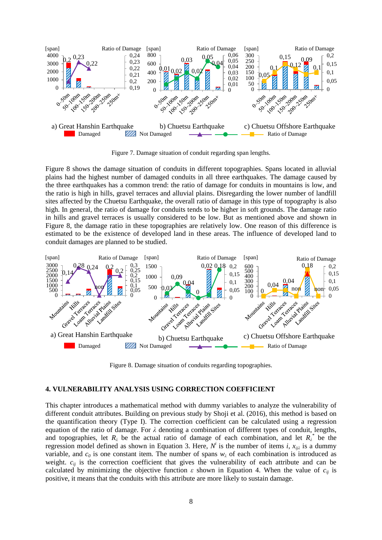

Figure 7. Damage situation of conduit regarding span lengths.

Figure 8 shows the damage situation of conduits in different topographies. Spans located in alluvial plains had the highest number of damaged conduits in all three earthquakes. The damage caused by the three earthquakes has a common trend: the ratio of damage for conduits in mountains is low, and the ratio is high in hills, gravel terraces and alluvial plains. Disregarding the lower number of landfill sites affected by the Chuetsu Earthquake, the overall ratio of damage in this type of topography is also high. In general, the ratio of damage for conduits tends to be higher in soft grounds. The damage ratio in hills and gravel terraces is usually considered to be low. But as mentioned above and shown in Figure 8, the damage ratio in these topographies are relatively low. One reason of this difference is estimated to be the existence of developed land in these areas. The influence of developed land to conduit damages are planned to be studied.



Figure 8. Damage situation of conduits regarding topographies.

## **4. VULNERABILITY ANALYSIS USING CORRECTION COEFFICIENT**

This chapter introduces a mathematical method with dummy variables to analyze the vulnerability of different conduit attributes. Building on previous study by Shoji et al. (2016), this method is based on the quantification theory (Type I). The correction coefficient can be calculated using a regression equation of the ratio of damage. For *λ* denoting a combination of different types of conduit, lengths, and topographies, let  $R_\lambda$  be the actual ratio of damage of each combination, and let  $R_\lambda^*$  be the regression model defined as shown in Equation 3. Here,  $N^i$  is the number of items *i*,  $x_{ij\lambda}$  is a dummy variable, and  $c_0$  is one constant item. The number of spans  $w_\lambda$  of each combination is introduced as weight.  $c_{ij}$  is the correction coefficient that gives the vulnerability of each attribute and can be calculated by minimizing the objective function  $\varepsilon$  shown in Equation 4. When the value of  $c_{ij}$  is positive, it means that the conduits with this attribute are more likely to sustain damage.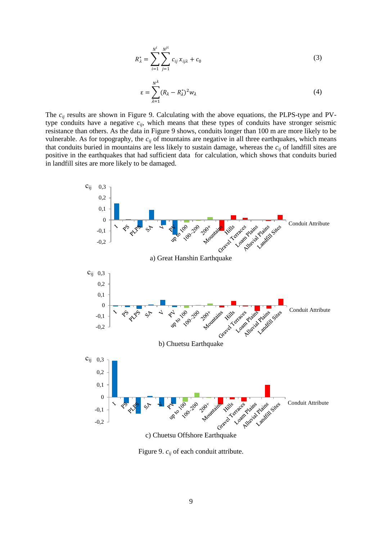$$
R_{\lambda}^{*} = \sum_{i=1}^{N^{i}} \sum_{j=1}^{N^{ji}} c_{ij} x_{ij\lambda} + c_{0}
$$
 (3)

$$
\varepsilon = \sum_{\lambda=1}^{N^{\lambda}} (R_{\lambda} - R_{\lambda}^{*})^{2} w_{\lambda}
$$
 (4)

The  $c_{ij}$  results are shown in Figure 9. Calculating with the above equations, the PLPS-type and PVtype conduits have a negative *cij*, which means that these types of conduits have stronger seismic resistance than others. As the data in Figure 9 shows, conduits longer than 100 m are more likely to be vulnerable. As for topography, the  $c_{ij}$  of mountains are negative in all three earthquakes, which means that conduits buried in mountains are less likely to sustain damage, whereas the *cij* of landfill sites are positive in the earthquakes that had sufficient data for calculation, which shows that conduits buried in landfill sites are more likely to be damaged.



Figure 9. *cij* of each conduit attribute.